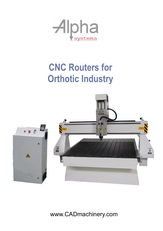

## **CNC Routers for Orthotic Industry**



www.CADmachinery.com